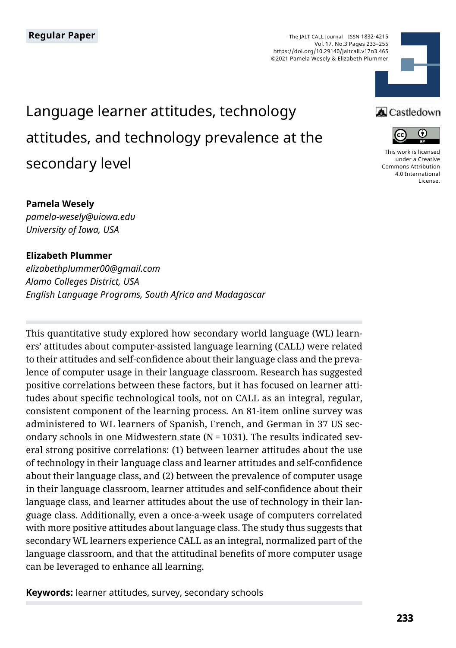The JALT CALL Journal ISSN 1832-4215 Vol. 17, No.3 Pages 233–255 https://doi.org/10.29140/jaltcall.v17n3.465 ©2021 Pamela Wesely & Elizabeth Plummer

# Language learner attitudes, technology attitudes, and technology prevalence at the secondary level

#### **Pamela Wesely**

*pamela-wesely@uiowa.edu University of Iowa, USA*

#### **Elizabeth Plummer**

*elizabethplummer00@gmail.com Alamo Colleges District, USA English Language Programs, South Africa and Madagascar*

This quantitative study explored how secondary world language (WL) learners' attitudes about computer-assisted language learning (CALL) were related to their attitudes and self-confidence about their language class and the prevalence of computer usage in their language classroom. Research has suggested positive correlations between these factors, but it has focused on learner attitudes about specific technological tools, not on CALL as an integral, regular, consistent component of the learning process. An 81-item online survey was administered to WL learners of Spanish, French, and German in 37 US secondary schools in one Midwestern state ( $N = 1031$ ). The results indicated several strong positive correlations: (1) between learner attitudes about the use of technology in their language class and learner attitudes and self-confidence about their language class, and (2) between the prevalence of computer usage in their language classroom, learner attitudes and self-confidence about their language class, and learner attitudes about the use of technology in their language class. Additionally, even a once-a-week usage of computers correlated with more positive attitudes about language class. The study thus suggests that secondary WL learners experience CALL as an integral, normalized part of the language classroom, and that the attitudinal benefits of more computer usage can be leveraged to enhance all learning.

**Keywords:** learner attitudes, survey, secondary schools





[This work is licensed](https://creativecommons.org/licenses/by/4.0/)  [under a Creative](https://creativecommons.org/licenses/by/4.0/)  [Commons Attribution](https://creativecommons.org/licenses/by/4.0/)  [4.0 International](https://creativecommons.org/licenses/by/4.0/)  [License](https://creativecommons.org/licenses/by/4.0/).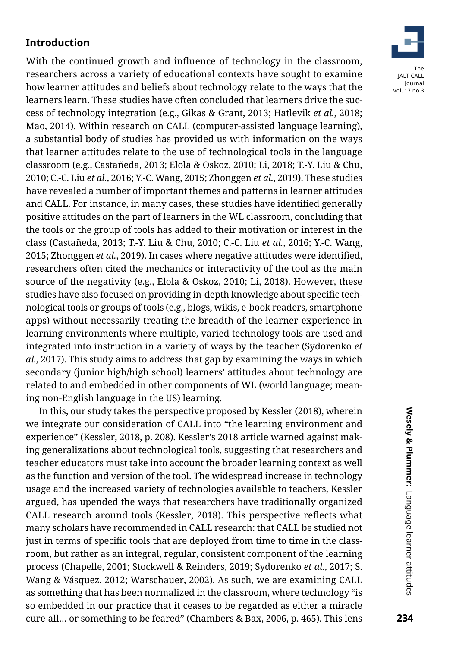# **Introduction**

With the continued growth and influence of technology in the classroom, researchers across a variety of educational contexts have sought to examine how learner attitudes and beliefs about technology relate to the ways that the learners learn. These studies have often concluded that learners drive the success of technology integration (e.g., Gikas & Grant, 2013; Hatlevik *et al.*, 2018; Mao, 2014). Within research on CALL (computer-assisted language learning), a substantial body of studies has provided us with information on the ways that learner attitudes relate to the use of technological tools in the language classroom (e.g., Castañeda, 2013; Elola & Oskoz, 2010; Li, 2018; T.-Y. Liu & Chu, 2010; C.-C. Liu *et al.*, 2016; Y.-C. Wang, 2015; Zhonggen *et al.*, 2019). These studies have revealed a number of important themes and patterns in learner attitudes and CALL. For instance, in many cases, these studies have identified generally positive attitudes on the part of learners in the WL classroom, concluding that the tools or the group of tools has added to their motivation or interest in the class (Castañeda, 2013; T.-Y. Liu & Chu, 2010; C.-C. Liu *et al.*, 2016; Y.-C. Wang, 2015; Zhonggen *et al.*, 2019). In cases where negative attitudes were identified, researchers often cited the mechanics or interactivity of the tool as the main source of the negativity (e.g., Elola & Oskoz, 2010; Li, 2018). However, these studies have also focused on providing in-depth knowledge about specific technological tools or groups of tools (e.g., blogs, wikis, e-book readers, smartphone apps) without necessarily treating the breadth of the learner experience in learning environments where multiple, varied technology tools are used and integrated into instruction in a variety of ways by the teacher (Sydorenko *et al.*, 2017). This study aims to address that gap by examining the ways in which secondary (junior high/high school) learners' attitudes about technology are related to and embedded in other components of WL (world language; meaning non-English language in the US) learning.

In this, our study takes the perspective proposed by Kessler (2018), wherein we integrate our consideration of CALL into "the learning environment and experience" (Kessler, 2018, p. 208). Kessler's 2018 article warned against making generalizations about technological tools, suggesting that researchers and teacher educators must take into account the broader learning context as well as the function and version of the tool. The widespread increase in technology usage and the increased variety of technologies available to teachers, Kessler argued, has upended the ways that researchers have traditionally organized CALL research around tools (Kessler, 2018). This perspective reflects what many scholars have recommended in CALL research: that CALL be studied not just in terms of specific tools that are deployed from time to time in the classroom, but rather as an integral, regular, consistent component of the learning process (Chapelle, 2001; Stockwell & Reinders, 2019; Sydorenko *et al.*, 2017; S. Wang & Vásquez, 2012; Warschauer, 2002). As such, we are examining CALL as something that has been normalized in the classroom, where technology "is so embedded in our practice that it ceases to be regarded as either a miracle cure-all… or something to be feared" (Chambers & Bax, 2006, p. 465). This lens

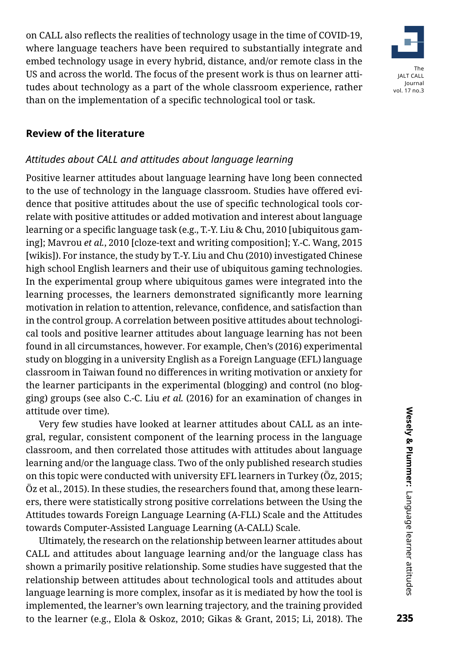on CALL also reflects the realities of technology usage in the time of COVID-19, where language teachers have been required to substantially integrate and embed technology usage in every hybrid, distance, and/or remote class in the US and across the world. The focus of the present work is thus on learner attitudes about technology as a part of the whole classroom experience, rather than on the implementation of a specific technological tool or task.



#### **Review of the literature**

#### *Attitudes about CALL and attitudes about language learning*

Positive learner attitudes about language learning have long been connected to the use of technology in the language classroom. Studies have offered evidence that positive attitudes about the use of specific technological tools correlate with positive attitudes or added motivation and interest about language learning or a specific language task (e.g., T.-Y. Liu & Chu, 2010 [ubiquitous gaming]; Mavrou *et al.*, 2010 [cloze-text and writing composition]; Y.-C. Wang, 2015 [wikis]). For instance, the study by T.-Y. Liu and Chu (2010) investigated Chinese high school English learners and their use of ubiquitous gaming technologies. In the experimental group where ubiquitous games were integrated into the learning processes, the learners demonstrated significantly more learning motivation in relation to attention, relevance, confidence, and satisfaction than in the control group. A correlation between positive attitudes about technological tools and positive learner attitudes about language learning has not been found in all circumstances, however. For example, Chen's (2016) experimental study on blogging in a university English as a Foreign Language (EFL) language classroom in Taiwan found no differences in writing motivation or anxiety for the learner participants in the experimental (blogging) and control (no blogging) groups (see also C.-C. Liu *et al.* (2016) for an examination of changes in attitude over time).

Very few studies have looked at learner attitudes about CALL as an integral, regular, consistent component of the learning process in the language classroom, and then correlated those attitudes with attitudes about language learning and/or the language class. Two of the only published research studies on this topic were conducted with university EFL learners in Turkey (Öz, 2015; Öz et al., 2015). In these studies, the researchers found that, among these learners, there were statistically strong positive correlations between the Using the Attitudes towards Foreign Language Learning (A-FLL) Scale and the Attitudes towards Computer-Assisted Language Learning (A-CALL) Scale.

Ultimately, the research on the relationship between learner attitudes about CALL and attitudes about language learning and/or the language class has shown a primarily positive relationship. Some studies have suggested that the relationship between attitudes about technological tools and attitudes about language learning is more complex, insofar as it is mediated by how the tool is implemented, the learner's own learning trajectory, and the training provided to the learner (e.g., Elola & Oskoz, 2010; Gikas & Grant, 2015; Li, 2018). The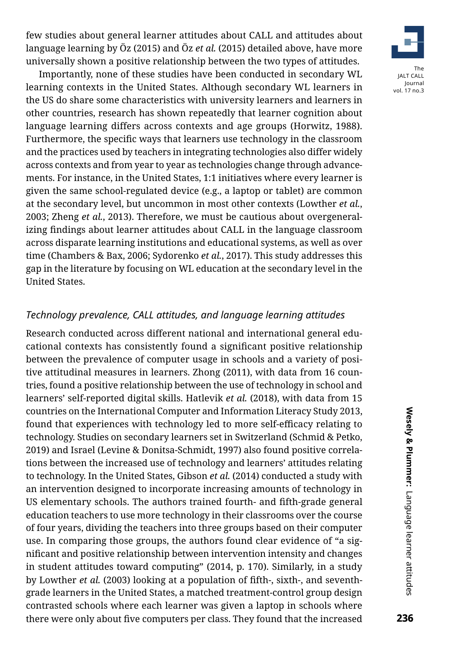few studies about general learner attitudes about CALL and attitudes about language learning by Öz (2015) and Öz *et al.* (2015) detailed above, have more universally shown a positive relationship between the two types of attitudes.

Importantly, none of these studies have been conducted in secondary WL learning contexts in the United States. Although secondary WL learners in the US do share some characteristics with university learners and learners in other countries, research has shown repeatedly that learner cognition about language learning differs across contexts and age groups (Horwitz, 1988). Furthermore, the specific ways that learners use technology in the classroom and the practices used by teachers in integrating technologies also differ widely across contexts and from year to year as technologies change through advancements. For instance, in the United States, 1:1 initiatives where every learner is given the same school-regulated device (e.g., a laptop or tablet) are common at the secondary level, but uncommon in most other contexts (Lowther *et al.*, 2003; Zheng *et al.*, 2013). Therefore, we must be cautious about overgeneralizing findings about learner attitudes about CALL in the language classroom across disparate learning institutions and educational systems, as well as over time (Chambers & Bax, 2006; Sydorenko *et al.*, 2017). This study addresses this gap in the literature by focusing on WL education at the secondary level in the United States.

# *Technology prevalence, CALL attitudes, and language learning attitudes*

Research conducted across different national and international general educational contexts has consistently found a significant positive relationship between the prevalence of computer usage in schools and a variety of positive attitudinal measures in learners. Zhong (2011), with data from 16 countries, found a positive relationship between the use of technology in school and learners' self-reported digital skills. Hatlevik *et al.* (2018), with data from 15 countries on the International Computer and Information Literacy Study 2013, found that experiences with technology led to more self-efficacy relating to technology. Studies on secondary learners set in Switzerland (Schmid & Petko, 2019) and Israel (Levine & Donitsa-Schmidt, 1997) also found positive correlations between the increased use of technology and learners' attitudes relating to technology. In the United States, Gibson *et al.* (2014) conducted a study with an intervention designed to incorporate increasing amounts of technology in US elementary schools. The authors trained fourth- and fifth-grade general education teachers to use more technology in their classrooms over the course of four years, dividing the teachers into three groups based on their computer use. In comparing those groups, the authors found clear evidence of "a significant and positive relationship between intervention intensity and changes in student attitudes toward computing" (2014, p. 170). Similarly, in a study by Lowther *et al.* (2003) looking at a population of fifth-, sixth-, and seventhgrade learners in the United States, a matched treatment-control group design contrasted schools where each learner was given a laptop in schools where there were only about five computers per class. They found that the increased

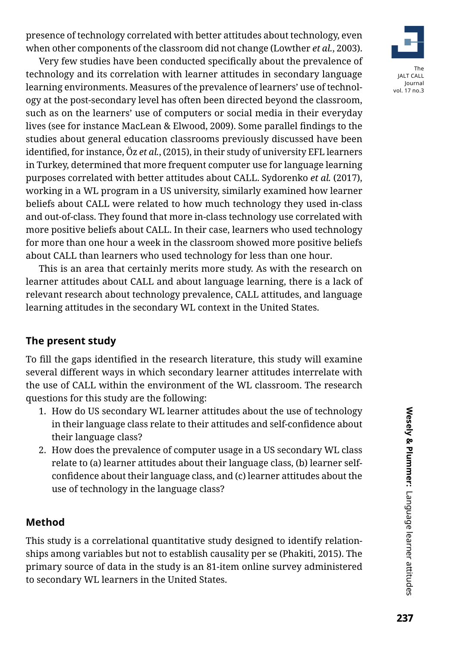presence of technology correlated with better attitudes about technology, even when other components of the classroom did not change (Lowther *et al.*, 2003).

Very few studies have been conducted specifically about the prevalence of technology and its correlation with learner attitudes in secondary language learning environments. Measures of the prevalence of learners' use of technology at the post-secondary level has often been directed beyond the classroom, such as on the learners' use of computers or social media in their everyday lives (see for instance MacLean & Elwood, 2009). Some parallel findings to the studies about general education classrooms previously discussed have been identified, for instance, Öz *et al.*, (2015), in their study of university EFL learners in Turkey, determined that more frequent computer use for language learning purposes correlated with better attitudes about CALL. Sydorenko *et al.* (2017), working in a WL program in a US university, similarly examined how learner beliefs about CALL were related to how much technology they used in-class and out-of-class. They found that more in-class technology use correlated with more positive beliefs about CALL. In their case, learners who used technology for more than one hour a week in the classroom showed more positive beliefs about CALL than learners who used technology for less than one hour.

This is an area that certainly merits more study. As with the research on learner attitudes about CALL and about language learning, there is a lack of relevant research about technology prevalence, CALL attitudes, and language learning attitudes in the secondary WL context in the United States.

# **The present study**

To fill the gaps identified in the research literature, this study will examine several different ways in which secondary learner attitudes interrelate with the use of CALL within the environment of the WL classroom. The research questions for this study are the following:

- 1. How do US secondary WL learner attitudes about the use of technology in their language class relate to their attitudes and self-confidence about their language class?
- 2. How does the prevalence of computer usage in a US secondary WL class relate to (a) learner attitudes about their language class, (b) learner selfconfidence about their language class, and (c) learner attitudes about the use of technology in the language class?

# **Method**

This study is a correlational quantitative study designed to identify relationships among variables but not to establish causality per se (Phakiti, 2015). The primary source of data in the study is an 81-item online survey administered to secondary WL learners in the United States.

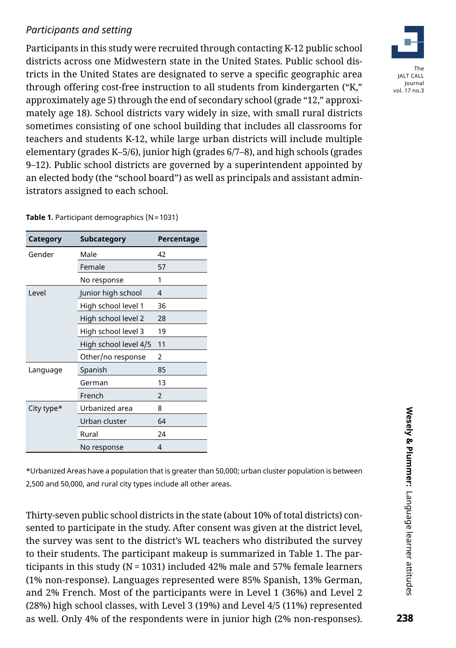# *Participants and setting*

Participants in this study were recruited through contacting K-12 public school districts across one Midwestern state in the United States. Public school districts in the United States are designated to serve a specific geographic area through offering cost-free instruction to all students from kindergarten ("K," approximately age 5) through the end of secondary school (grade "12," approximately age 18). School districts vary widely in size, with small rural districts sometimes consisting of one school building that includes all classrooms for teachers and students K-12, while large urban districts will include multiple elementary (grades K–5/6), junior high (grades 6/7–8), and high schools (grades 9–12). Public school districts are governed by a superintendent appointed by an elected body (the "school board") as well as principals and assistant administrators assigned to each school.

| Category   | Subcategory           | Percentage     |
|------------|-----------------------|----------------|
| Gender     | Male                  | 42             |
|            | Female                | 57             |
|            | No response           | 1              |
| l evel     | Junior high school    | 4              |
|            | High school level 1   | 36             |
|            | High school level 2   | 28             |
|            | High school level 3   | 19             |
|            | High school level 4/5 | 11             |
|            | Other/no response     | 2              |
| Language   | Spanish               | 85             |
|            | German                | 13             |
|            | French                | $\mathfrak{p}$ |
| City type* | Urbanized area        | 8              |
|            | Urban cluster         | 64             |
|            | Rural                 | 24             |
|            | No response           | 4              |

**Table 1.** Participant demographics (N=1031)

\*Urbanized Areas have a population that is greater than 50,000; urban cluster population is between 2,500 and 50,000, and rural city types include all other areas.

Thirty-seven public school districts in the state (about 10% of total districts) consented to participate in the study. After consent was given at the district level, the survey was sent to the district's WL teachers who distributed the survey to their students. The participant makeup is summarized in Table 1. The participants in this study (N = 1031) included 42% male and 57% female learners (1% non-response). Languages represented were 85% Spanish, 13% German, and 2% French. Most of the participants were in Level 1 (36%) and Level 2 (28%) high school classes, with Level 3 (19%) and Level 4/5 (11%) represented as well. Only 4% of the respondents were in junior high (2% non-responses).

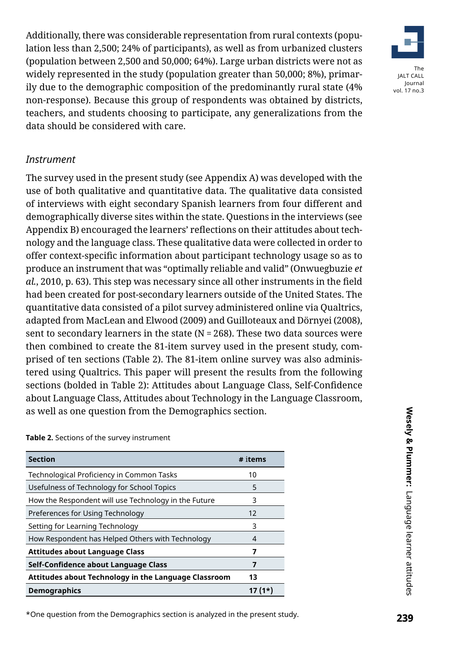Additionally, there was considerable representation from rural contexts (population less than 2,500; 24% of participants), as well as from urbanized clusters (population between 2,500 and 50,000; 64%). Large urban districts were not as widely represented in the study (population greater than 50,000; 8%), primarily due to the demographic composition of the predominantly rural state (4% non-response). Because this group of respondents was obtained by districts, teachers, and students choosing to participate, any generalizations from the data should be considered with care.

# *Instrument*

The survey used in the present study (see Appendix A) was developed with the use of both qualitative and quantitative data. The qualitative data consisted of interviews with eight secondary Spanish learners from four different and demographically diverse sites within the state. Questions in the interviews (see Appendix B) encouraged the learners' reflections on their attitudes about technology and the language class. These qualitative data were collected in order to offer context-specific information about participant technology usage so as to produce an instrument that was "optimally reliable and valid" (Onwuegbuzie *et al.*, 2010, p. 63). This step was necessary since all other instruments in the field had been created for post-secondary learners outside of the United States. The quantitative data consisted of a pilot survey administered online via Qualtrics, adapted from MacLean and Elwood (2009) and Guilloteaux and Dörnyei (2008), sent to secondary learners in the state (N = 268). These two data sources were then combined to create the 81-item survey used in the present study, comprised of ten sections (Table 2). The 81-item online survey was also administered using Qualtrics. This paper will present the results from the following sections (bolded in Table 2): Attitudes about Language Class, Self-Confidence about Language Class, Attitudes about Technology in the Language Classroom, as well as one question from the Demographics section.

#### **Table 2.** Sections of the survey instrument

| <b>Section</b>                                       | # items |
|------------------------------------------------------|---------|
| Technological Proficiency in Common Tasks            | 10      |
| Usefulness of Technology for School Topics           | 5       |
| How the Respondent will use Technology in the Future | 3       |
| Preferences for Using Technology                     | 12      |
| Setting for Learning Technology                      | 3       |
| How Respondent has Helped Others with Technology     | 4       |
| <b>Attitudes about Language Class</b>                | 7       |
| Self-Confidence about Language Class                 | 7       |
| Attitudes about Technology in the Language Classroom | 13      |
| <b>Demographics</b>                                  | 17 (1*) |

<sup>\*</sup>One question from the Demographics section is analyzed in the present study.

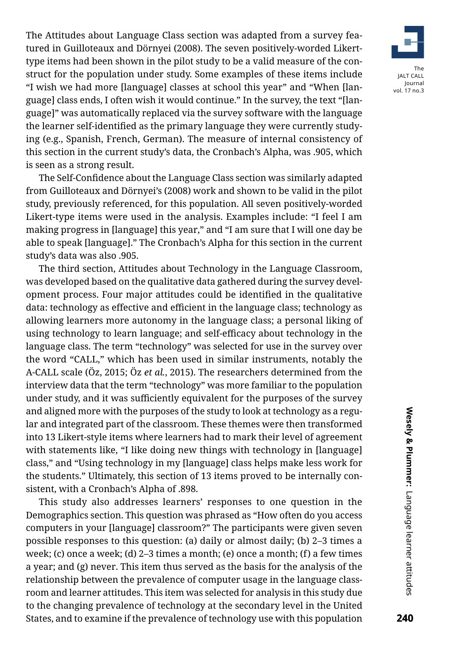The Attitudes about Language Class section was adapted from a survey featured in Guilloteaux and Dörnyei (2008). The seven positively-worded Likerttype items had been shown in the pilot study to be a valid measure of the construct for the population under study. Some examples of these items include "I wish we had more [language] classes at school this year" and "When [language] class ends, I often wish it would continue." In the survey, the text "[language]" was automatically replaced via the survey software with the language the learner self-identified as the primary language they were currently studying (e.g., Spanish, French, German). The measure of internal consistency of this section in the current study's data, the Cronbach's Alpha, was .905, which is seen as a strong result.

The Self-Confidence about the Language Class section was similarly adapted from Guilloteaux and Dörnyei's (2008) work and shown to be valid in the pilot study, previously referenced, for this population. All seven positively-worded Likert-type items were used in the analysis. Examples include: "I feel I am making progress in [language] this year," and "I am sure that I will one day be able to speak [language]." The Cronbach's Alpha for this section in the current study's data was also .905.

The third section, Attitudes about Technology in the Language Classroom, was developed based on the qualitative data gathered during the survey development process. Four major attitudes could be identified in the qualitative data: technology as effective and efficient in the language class; technology as allowing learners more autonomy in the language class; a personal liking of using technology to learn language; and self-efficacy about technology in the language class. The term "technology" was selected for use in the survey over the word "CALL," which has been used in similar instruments, notably the A-CALL scale (Öz, 2015; Öz *et al.*, 2015). The researchers determined from the interview data that the term "technology" was more familiar to the population under study, and it was sufficiently equivalent for the purposes of the survey and aligned more with the purposes of the study to look at technology as a regular and integrated part of the classroom. These themes were then transformed into 13 Likert-style items where learners had to mark their level of agreement with statements like, "I like doing new things with technology in [language] class," and "Using technology in my [language] class helps make less work for the students." Ultimately, this section of 13 items proved to be internally consistent, with a Cronbach's Alpha of .898.

This study also addresses learners' responses to one question in the Demographics section. This question was phrased as "How often do you access computers in your [language] classroom?" The participants were given seven possible responses to this question: (a) daily or almost daily; (b) 2–3 times a week; (c) once a week; (d) 2–3 times a month; (e) once a month; (f) a few times a year; and (g) never. This item thus served as the basis for the analysis of the relationship between the prevalence of computer usage in the language classroom and learner attitudes. This item was selected for analysis in this study due to the changing prevalence of technology at the secondary level in the United States, and to examine if the prevalence of technology use with this population

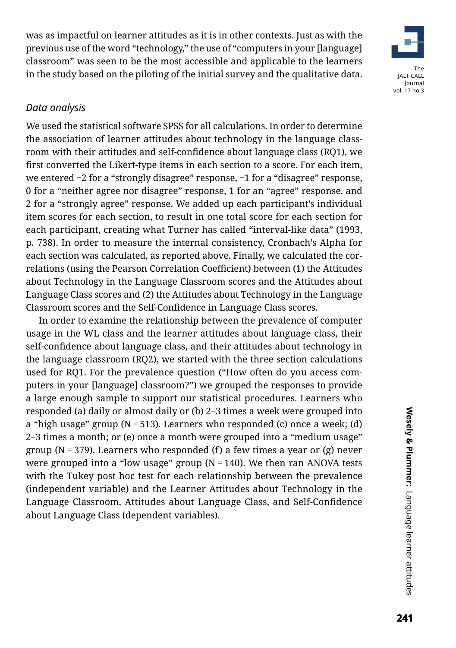was as impactful on learner attitudes as it is in other contexts. Just as with the previous use of the word "technology," the use of "computers in your [language] classroom" was seen to be the most accessible and applicable to the learners in the study based on the piloting of the initial survey and the qualitative data.



#### *Data analysis*

We used the statistical software SPSS for all calculations. In order to determine the association of learner attitudes about technology in the language classroom with their attitudes and self-confidence about language class (RQ1), we first converted the Likert-type items in each section to a score. For each item, we entered −2 for a "strongly disagree" response, −1 for a "disagree" response, 0 for a "neither agree nor disagree" response, 1 for an "agree" response, and 2 for a "strongly agree" response. We added up each participant's individual item scores for each section, to result in one total score for each section for each participant, creating what Turner has called "interval-like data" (1993, p. 738). In order to measure the internal consistency, Cronbach's Alpha for each section was calculated, as reported above. Finally, we calculated the correlations (using the Pearson Correlation Coefficient) between (1) the Attitudes about Technology in the Language Classroom scores and the Attitudes about Language Class scores and (2) the Attitudes about Technology in the Language Classroom scores and the Self-Confidence in Language Class scores.

In order to examine the relationship between the prevalence of computer usage in the WL class and the learner attitudes about language class, their self-confidence about language class, and their attitudes about technology in the language classroom (RQ2), we started with the three section calculations used for RQ1. For the prevalence question ("How often do you access computers in your [language] classroom?") we grouped the responses to provide a large enough sample to support our statistical procedures. Learners who responded (a) daily or almost daily or (b) 2–3 times a week were grouped into a "high usage" group (N = 513). Learners who responded (c) once a week; (d) 2–3 times a month; or (e) once a month were grouped into a "medium usage" group (N = 379). Learners who responded (f) a few times a year or (g) never were grouped into a "low usage" group ( $N = 140$ ). We then ran ANOVA tests with the Tukey post hoc test for each relationship between the prevalence (independent variable) and the Learner Attitudes about Technology in the Language Classroom, Attitudes about Language Class, and Self-Confidence about Language Class (dependent variables).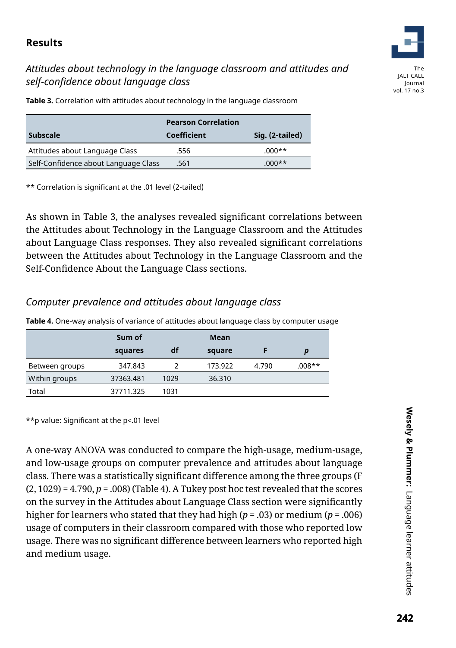# **Results**

# *Attitudes about technology in the language classroom and attitudes and self-confidence about language class*



Journal vol. 17 no.3

**Table 3.** Correlation with attitudes about technology in the language classroom

|                                      | <b>Pearson Correlation</b> |                 |
|--------------------------------------|----------------------------|-----------------|
| <b>Subscale</b>                      | Coefficient                | Sig. (2-tailed) |
| Attitudes about Language Class       | .556                       | $.000**$        |
| Self-Confidence about Language Class | .561                       | $.000**$        |

\*\* Correlation is significant at the .01 level (2-tailed)

As shown in Table 3, the analyses revealed significant correlations between the Attitudes about Technology in the Language Classroom and the Attitudes about Language Class responses. They also revealed significant correlations between the Attitudes about Technology in the Language Classroom and the Self-Confidence About the Language Class sections.

# *Computer prevalence and attitudes about language class*

|                | Sum of    |      | Mean    |       |        |
|----------------|-----------|------|---------|-------|--------|
|                | squares   | df   | square  |       | p      |
| Between groups | 347.843   |      | 173.922 | 4.790 | .008** |
| Within groups  | 37363.481 | 1029 | 36.310  |       |        |
| Total          | 37711.325 | 1031 |         |       |        |

**Table 4.** One-way analysis of variance of attitudes about language class by computer usage

\*\*p value: Significant at the p<.01 level

A one-way ANOVA was conducted to compare the high-usage, medium-usage, and low-usage groups on computer prevalence and attitudes about language class. There was a statistically significant difference among the three groups (F  $(2, 1029) = 4.790, p = .008$  (Table 4). A Tukey post hoc test revealed that the scores on the survey in the Attitudes about Language Class section were significantly higher for learners who stated that they had high (*p* = .03) or medium (*p*= .006) usage of computers in their classroom compared with those who reported low usage. There was no significant difference between learners who reported high and medium usage.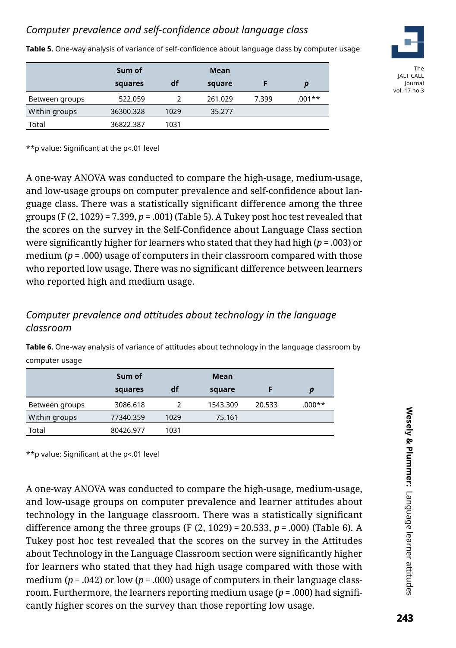# *Computer prevalence and self-confidence about language class*

**Table 5.** One-way analysis of variance of self-confidence about language class by computer usage

|                | Sum of    |      | Mean    |       |        |
|----------------|-----------|------|---------|-------|--------|
|                | squares   | df   | square  |       | D      |
| Between groups | 522.059   |      | 261.029 | 7.399 | .001** |
| Within groups  | 36300.328 | 1029 | 35.277  |       |        |
| Total          | 36822.387 | 1031 |         |       |        |



The JALT CALL Journal vol. 17 no.3

\*\*p value: Significant at the p<.01 level

A one-way ANOVA was conducted to compare the high-usage, medium-usage, and low-usage groups on computer prevalence and self-confidence about language class. There was a statistically significant difference among the three groups (F (2, 1029) = 7.399, *p*= .001) (Table 5). A Tukey post hoc test revealed that the scores on the survey in the Self-Confidence about Language Class section were significantly higher for learners who stated that they had high (*p* = .003) or medium (*p*= .000) usage of computers in their classroom compared with those who reported low usage. There was no significant difference between learners who reported high and medium usage.

# *Computer prevalence and attitudes about technology in the language classroom*

**Table 6.** One-way analysis of variance of attitudes about technology in the language classroom by computer usage

|                | Sum of    |      | Mean     |        |                  |
|----------------|-----------|------|----------|--------|------------------|
|                | squares   | df   | square   |        | $\boldsymbol{p}$ |
| Between groups | 3086.618  |      | 1543.309 | 20.533 | $000**$          |
| Within groups  | 77340.359 | 1029 | 75.161   |        |                  |
| Total          | 80426.977 | 1031 |          |        |                  |

\*\*p value: Significant at the p<.01 level

A one-way ANOVA was conducted to compare the high-usage, medium-usage, and low-usage groups on computer prevalence and learner attitudes about technology in the language classroom. There was a statistically significant difference among the three groups (F (2, 1029) = 20.533, *p* = .000) (Table 6). A Tukey post hoc test revealed that the scores on the survey in the Attitudes about Technology in the Language Classroom section were significantly higher for learners who stated that they had high usage compared with those with medium (*p* = .042) or low (*p* = .000) usage of computers in their language classroom. Furthermore, the learners reporting medium usage (*p* = .000) had significantly higher scores on the survey than those reporting low usage.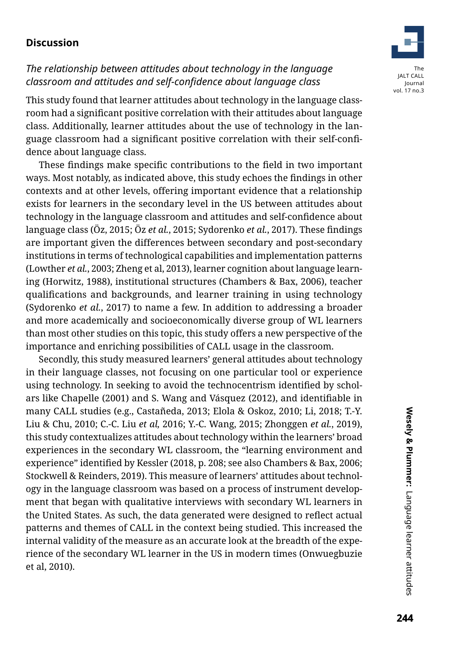# **Discussion**



This study found that learner attitudes about technology in the language classroom had a significant positive correlation with their attitudes about language class. Additionally, learner attitudes about the use of technology in the language classroom had a significant positive correlation with their self-confidence about language class.

These findings make specific contributions to the field in two important ways. Most notably, as indicated above, this study echoes the findings in other contexts and at other levels, offering important evidence that a relationship exists for learners in the secondary level in the US between attitudes about technology in the language classroom and attitudes and self-confidence about language class (Öz, 2015; Öz *et al.*, 2015; Sydorenko *et al.*, 2017). These findings are important given the differences between secondary and post-secondary institutions in terms of technological capabilities and implementation patterns (Lowther *et al.*, 2003; Zheng et al, 2013), learner cognition about language learning (Horwitz, 1988), institutional structures (Chambers & Bax, 2006), teacher qualifications and backgrounds, and learner training in using technology (Sydorenko *et al.*, 2017) to name a few. In addition to addressing a broader and more academically and socioeconomically diverse group of WL learners than most other studies on this topic, this study offers a new perspective of the importance and enriching possibilities of CALL usage in the classroom.

Secondly, this study measured learners' general attitudes about technology in their language classes, not focusing on one particular tool or experience using technology. In seeking to avoid the technocentrism identified by scholars like Chapelle (2001) and S. Wang and Vásquez (2012), and identifiable in many CALL studies (e.g., Castañeda, 2013; Elola & Oskoz, 2010; Li, 2018; T.-Y. Liu & Chu, 2010; C.-C. Liu *et al,* 2016; Y.-C. Wang, 2015; Zhonggen *et al.*, 2019), this study contextualizes attitudes about technology within the learners' broad experiences in the secondary WL classroom, the "learning environment and experience" identified by Kessler (2018, p. 208; see also Chambers & Bax, 2006; Stockwell & Reinders, 2019). This measure of learners' attitudes about technology in the language classroom was based on a process of instrument development that began with qualitative interviews with secondary WL learners in the United States. As such, the data generated were designed to reflect actual patterns and themes of CALL in the context being studied. This increased the internal validity of the measure as an accurate look at the breadth of the experience of the secondary WL learner in the US in modern times (Onwuegbuzie et al, 2010).

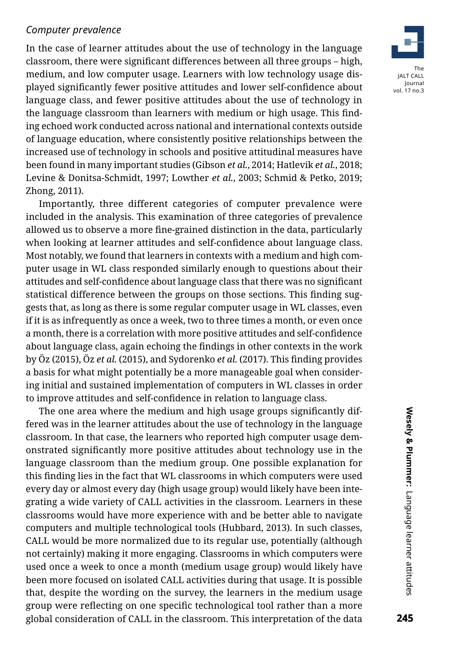#### *Computer prevalence*

In the case of learner attitudes about the use of technology in the language classroom, there were significant differences between all three groups – high, medium, and low computer usage. Learners with low technology usage displayed significantly fewer positive attitudes and lower self-confidence about language class, and fewer positive attitudes about the use of technology in the language classroom than learners with medium or high usage. This finding echoed work conducted across national and international contexts outside of language education, where consistently positive relationships between the increased use of technology in schools and positive attitudinal measures have been found in many important studies (Gibson *et al.*, 2014; Hatlevik *et al.*, 2018; Levine & Donitsa-Schmidt, 1997; Lowther *et al.*, 2003; Schmid & Petko, 2019; Zhong, 2011).

Importantly, three different categories of computer prevalence were included in the analysis. This examination of three categories of prevalence allowed us to observe a more fine-grained distinction in the data, particularly when looking at learner attitudes and self-confidence about language class. Most notably, we found that learners in contexts with a medium and high computer usage in WL class responded similarly enough to questions about their attitudes and self-confidence about language class that there was no significant statistical difference between the groups on those sections. This finding suggests that, as long as there is some regular computer usage in WL classes, even if it is as infrequently as once a week, two to three times a month, or even once a month, there is a correlation with more positive attitudes and self-confidence about language class, again echoing the findings in other contexts in the work by Öz (2015), Öz *et al.* (2015), and Sydorenko *et al.* (2017). This finding provides a basis for what might potentially be a more manageable goal when considering initial and sustained implementation of computers in WL classes in order to improve attitudes and self-confidence in relation to language class.

The one area where the medium and high usage groups significantly differed was in the learner attitudes about the use of technology in the language classroom. In that case, the learners who reported high computer usage demonstrated significantly more positive attitudes about technology use in the language classroom than the medium group. One possible explanation for this finding lies in the fact that WL classrooms in which computers were used every day or almost every day (high usage group) would likely have been integrating a wide variety of CALL activities in the classroom. Learners in these classrooms would have more experience with and be better able to navigate computers and multiple technological tools (Hubbard, 2013). In such classes, CALL would be more normalized due to its regular use, potentially (although not certainly) making it more engaging. Classrooms in which computers were used once a week to once a month (medium usage group) would likely have been more focused on isolated CALL activities during that usage. It is possible that, despite the wording on the survey, the learners in the medium usage group were reflecting on one specific technological tool rather than a more global consideration of CALL in the classroom. This interpretation of the data

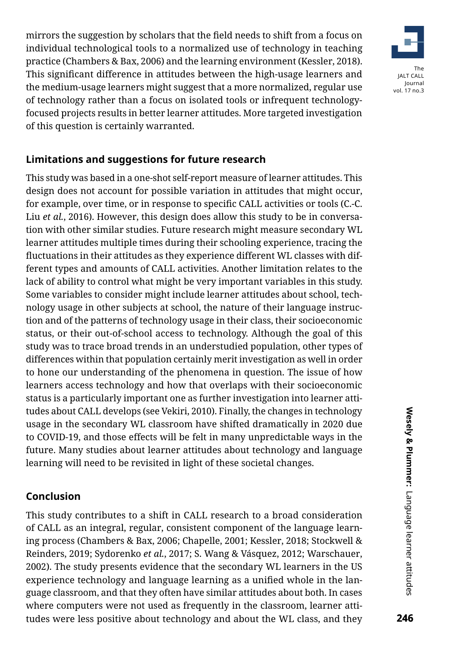mirrors the suggestion by scholars that the field needs to shift from a focus on individual technological tools to a normalized use of technology in teaching practice (Chambers & Bax, 2006) and the learning environment (Kessler, 2018). This significant difference in attitudes between the high-usage learners and the medium-usage learners might suggest that a more normalized, regular use of technology rather than a focus on isolated tools or infrequent technologyfocused projects results in better learner attitudes. More targeted investigation of this question is certainly warranted.



# **Limitations and suggestions for future research**

This study was based in a one-shot self-report measure of learner attitudes. This design does not account for possible variation in attitudes that might occur, for example, over time, or in response to specific CALL activities or tools (C.-C. Liu *et al.*, 2016). However, this design does allow this study to be in conversation with other similar studies. Future research might measure secondary WL learner attitudes multiple times during their schooling experience, tracing the fluctuations in their attitudes as they experience different WL classes with different types and amounts of CALL activities. Another limitation relates to the lack of ability to control what might be very important variables in this study. Some variables to consider might include learner attitudes about school, technology usage in other subjects at school, the nature of their language instruction and of the patterns of technology usage in their class, their socioeconomic status, or their out-of-school access to technology. Although the goal of this study was to trace broad trends in an understudied population, other types of differences within that population certainly merit investigation as well in order to hone our understanding of the phenomena in question. The issue of how learners access technology and how that overlaps with their socioeconomic status is a particularly important one as further investigation into learner attitudes about CALL develops (see Vekiri, 2010). Finally, the changes in technology usage in the secondary WL classroom have shifted dramatically in 2020 due to COVID-19, and those effects will be felt in many unpredictable ways in the future. Many studies about learner attitudes about technology and language learning will need to be revisited in light of these societal changes.

# **Conclusion**

This study contributes to a shift in CALL research to a broad consideration of CALL as an integral, regular, consistent component of the language learning process (Chambers & Bax, 2006; Chapelle, 2001; Kessler, 2018; Stockwell & Reinders, 2019; Sydorenko *et al.*, 2017; S. Wang & Vásquez, 2012; Warschauer, 2002). The study presents evidence that the secondary WL learners in the US experience technology and language learning as a unified whole in the language classroom, and that they often have similar attitudes about both. In cases where computers were not used as frequently in the classroom, learner attitudes were less positive about technology and about the WL class, and they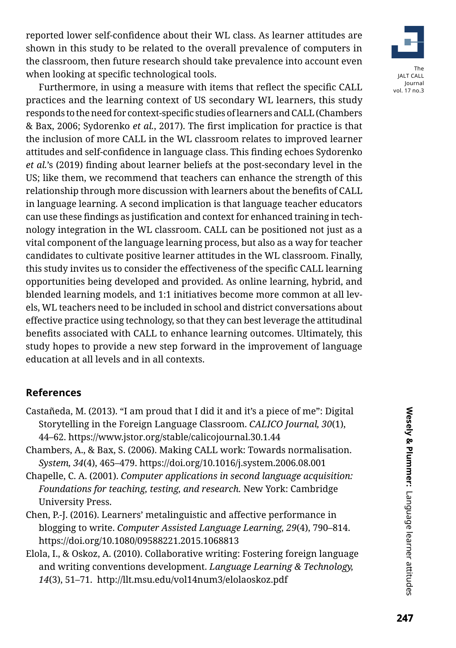reported lower self-confidence about their WL class. As learner attitudes are shown in this study to be related to the overall prevalence of computers in the classroom, then future research should take prevalence into account even when looking at specific technological tools.

Furthermore, in using a measure with items that reflect the specific CALL practices and the learning context of US secondary WL learners, this study responds to the need for context-specific studies of learners and CALL (Chambers & Bax, 2006; Sydorenko *et al.*, 2017). The first implication for practice is that the inclusion of more CALL in the WL classroom relates to improved learner attitudes and self-confidence in language class. This finding echoes Sydorenko *et al.*'s (2019) finding about learner beliefs at the post-secondary level in the US; like them, we recommend that teachers can enhance the strength of this relationship through more discussion with learners about the benefits of CALL in language learning. A second implication is that language teacher educators can use these findings as justification and context for enhanced training in technology integration in the WL classroom. CALL can be positioned not just as a vital component of the language learning process, but also as a way for teacher candidates to cultivate positive learner attitudes in the WL classroom. Finally, this study invites us to consider the effectiveness of the specific CALL learning opportunities being developed and provided. As online learning, hybrid, and blended learning models, and 1:1 initiatives become more common at all levels, WL teachers need to be included in school and district conversations about effective practice using technology, so that they can best leverage the attitudinal benefits associated with CALL to enhance learning outcomes. Ultimately, this study hopes to provide a new step forward in the improvement of language education at all levels and in all contexts.

# **References**

- Castañeda, M. (2013). "I am proud that I did it and it's a piece of me": Digital Storytelling in the Foreign Language Classroom. *CALICO Journal, 30*(1), 44–62. https://www.jstor.org/stable/calicojournal.30.1.44
- Chambers, A., & Bax, S. (2006). Making CALL work: Towards normalisation. *System, 34*(4), 465–479. https://doi.org/10.1016/j.system.2006.08.001
- Chapelle, C. A. (2001). *Computer applications in second language acquisition: Foundations for teaching, testing, and research.* New York: Cambridge University Press.
- Chen, P.-J. (2016). Learners' metalinguistic and affective performance in blogging to write. *Computer Assisted Language Learning, 29*(4), 790–814. https://doi.org/10.1080/09588221.2015.1068813
- Elola, I., & Oskoz, A. (2010). Collaborative writing: Fostering foreign language and writing conventions development. *Language Learning & Technology, 14*(3), 51–71. http://llt.msu.edu/vol14num3/elolaoskoz.pdf

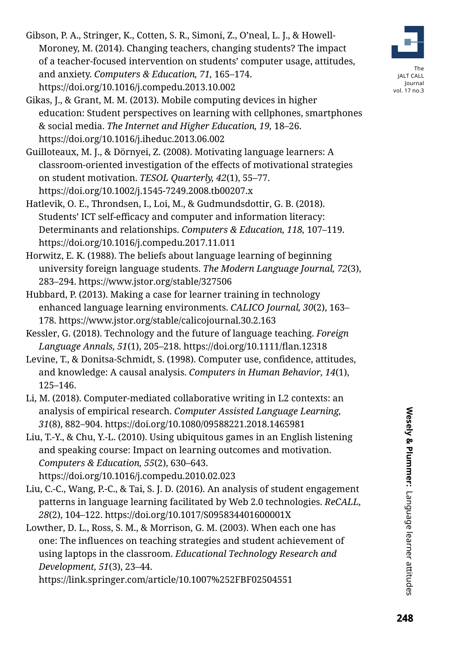- Gibson, P. A., Stringer, K., Cotten, S. R., Simoni, Z., O'neal, L. J., & Howell-Moroney, M. (2014). Changing teachers, changing students? The impact of a teacher-focused intervention on students' computer usage, attitudes, and anxiety. *Computers & Education, 71,* 165–174. https://doi.org/10.1016/j.compedu.2013.10.002
- Gikas, J., & Grant, M. M. (2013). Mobile computing devices in higher education: Student perspectives on learning with cellphones, smartphones & social media. *The Internet and Higher Education, 19,* 18–26. https://doi.org/10.1016/j.iheduc.2013.06.002
- Guilloteaux, M. J., & Dörnyei, Z. (2008). Motivating language learners: A classroom-oriented investigation of the effects of motivational strategies on student motivation. *TESOL Quarterly, 42*(1), 55–77. https://doi.org/10.1002/j.1545-7249.2008.tb00207.x
- Hatlevik, O. E., Throndsen, I., Loi, M., & Gudmundsdottir, G. B. (2018). Students' ICT self-efficacy and computer and information literacy: Determinants and relationships. *Computers & Education, 118,* 107–119. https://doi.org/10.1016/j.compedu.2017.11.011
- Horwitz, E. K. (1988). The beliefs about language learning of beginning university foreign language students. *The Modern Language Journal, 72*(3), 283–294. https://www.jstor.org/stable/327506
- Hubbard, P. (2013). Making a case for learner training in technology enhanced language learning environments. *CALICO Journal, 30*(2), 163– 178. https://www.jstor.org/stable/calicojournal.30.2.163
- Kessler, G. (2018). Technology and the future of language teaching. *Foreign Language Annals, 51*(1), 205–218. https://doi.org/10.1111/flan.12318
- Levine, T., & Donitsa-Schmidt, S. (1998). Computer use, confidence, attitudes, and knowledge: A causal analysis. *Computers in Human Behavior, 14*(1), 125–146.
- Li, M. (2018). Computer-mediated collaborative writing in L2 contexts: an analysis of empirical research. *Computer Assisted Language Learning, 31*(8), 882–904. https://doi.org/10.1080/09588221.2018.1465981
- Liu, T.-Y., & Chu, Y.-L. (2010). Using ubiquitous games in an English listening and speaking course: Impact on learning outcomes and motivation. *Computers & Education, 55*(2), 630–643.

https://doi.org/10.1016/j.compedu.2010.02.023

- Liu, C.-C., Wang, P.-C., & Tai, S. J. D. (2016). An analysis of student engagement patterns in language learning facilitated by Web 2.0 technologies. *ReCALL, 28*(2), 104–122. https://doi.org/10.1017/S095834401600001X
- Lowther, D. L., Ross, S. M., & Morrison, G. M. (2003). When each one has one: The influences on teaching strategies and student achievement of using laptops in the classroom. *Educational Technology Research and Development, 51*(3), 23–44.

https://link.springer.com/article/10.1007%252FBF02504551



The JALT CALL Journal vol. 17 no.3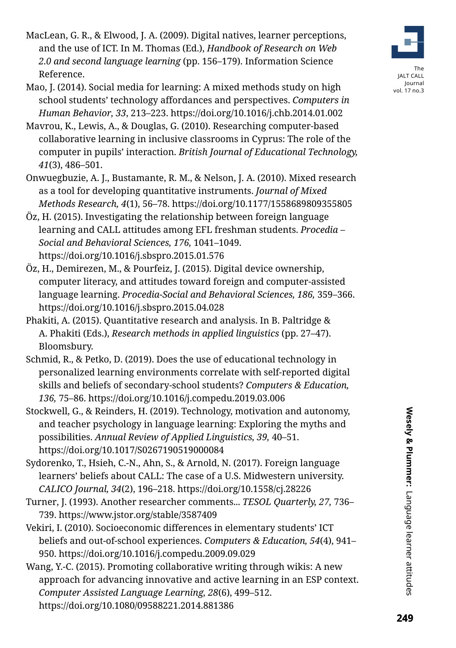- MacLean, G. R., & Elwood, J. A. (2009). Digital natives, learner perceptions, and the use of ICT. In M. Thomas (Ed.), *Handbook of Research on Web 2.0 and second language learning* (pp. 156–179). Information Science Reference.
- Mao, J. (2014). Social media for learning: A mixed methods study on high school students' technology affordances and perspectives. *Computers in Human Behavior, 33*, 213–223. https://doi.org/10.1016/j.chb.2014.01.002
- Mavrou, K., Lewis, A., & Douglas, G. (2010). Researching computer-based collaborative learning in inclusive classrooms in Cyprus: The role of the computer in pupils' interaction. *British Journal of Educational Technology, 41*(3), 486–501.
- Onwuegbuzie, A. J., Bustamante, R. M., & Nelson, J. A. (2010). Mixed research as a tool for developing quantitative instruments. *Journal of Mixed Methods Research, 4*(1), 56–78. https://doi.org/10.1177/1558689809355805
- Öz, H. (2015). Investigating the relationship between foreign language learning and CALL attitudes among EFL freshman students. *Procedia – Social and Behavioral Sciences, 176,* 1041–1049. https://doi.org/10.1016/j.sbspro.2015.01.576
- Öz, H., Demirezen, M., & Pourfeiz, J. (2015). Digital device ownership, computer literacy, and attitudes toward foreign and computer-assisted language learning. *Procedia-Social and Behavioral Sciences, 186,* 359–366. https://doi.org/10.1016/j.sbspro.2015.04.028
- Phakiti, A. (2015). Quantitative research and analysis. In B. Paltridge & A. Phakiti (Eds.), *Research methods in applied linguistics* (pp. 27–47). Bloomsbury.
- Schmid, R., & Petko, D. (2019). Does the use of educational technology in personalized learning environments correlate with self-reported digital skills and beliefs of secondary-school students? *Computers & Education, 136,* 75–86. https://doi.org/10.1016/j.compedu.2019.03.006
- Stockwell, G., & Reinders, H. (2019). Technology, motivation and autonomy, and teacher psychology in language learning: Exploring the myths and possibilities. *Annual Review of Applied Linguistics, 39,* 40–51. https://doi.org/10.1017/S0267190519000084
- Sydorenko, T., Hsieh, C.-N., Ahn, S., & Arnold, N. (2017). Foreign language learners' beliefs about CALL: The case of a U.S. Midwestern university. *CALICO Journal, 34*(2), 196–218. https://doi.org/10.1558/cj.28226
- Turner, J. (1993). Another researcher comments... *TESOL Quarterly, 27,* 736– 739. https://www.jstor.org/stable/3587409
- Vekiri, I. (2010). Socioeconomic differences in elementary students' ICT beliefs and out-of-school experiences. *Computers & Education, 54*(4), 941– 950. https://doi.org/10.1016/j.compedu.2009.09.029
- Wang, Y.-C. (2015). Promoting collaborative writing through wikis: A new approach for advancing innovative and active learning in an ESP context. *Computer Assisted Language Learning, 28*(6), 499–512. https://doi.org/10.1080/09588221.2014.881386



vol. 17 no.3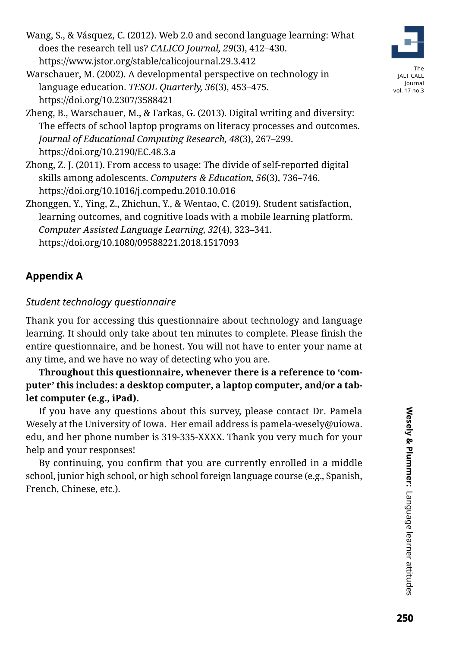Wang, S., & Vásquez, C. (2012). Web 2.0 and second language learning: What does the research tell us? *CALICO Journal, 29*(3), 412–430. https://www.jstor.org/stable/calicojournal.29.3.412

Warschauer, M. (2002). A developmental perspective on technology in language education. *TESOL Quarterly, 36*(3), 453–475. https://doi.org/10.2307/3588421



- Zhong, Z. J. (2011). From access to usage: The divide of self-reported digital skills among adolescents. *Computers & Education, 56*(3), 736–746. https://doi.org/10.1016/j.compedu.2010.10.016
- Zhonggen, Y., Ying, Z., Zhichun, Y., & Wentao, C. (2019). Student satisfaction, learning outcomes, and cognitive loads with a mobile learning platform. *Computer Assisted Language Learning, 32*(4), 323–341. https://doi.org/10.1080/09588221.2018.1517093

# **Appendix A**

# *Student technology questionnaire*

Thank you for accessing this questionnaire about technology and language learning. It should only take about ten minutes to complete. Please finish the entire questionnaire, and be honest. You will not have to enter your name at any time, and we have no way of detecting who you are.

**Throughout this questionnaire, whenever there is a reference to 'computer' this includes: a desktop computer, a laptop computer, and/or a tablet computer (e.g., iPad).**

If you have any questions about this survey, please contact Dr. Pamela Wesely at the University of Iowa. Her email address is pamela-wesely@uiowa. edu, and her phone number is 319-335-XXXX. Thank you very much for your help and your responses!

By continuing, you confirm that you are currently enrolled in a middle school, junior high school, or high school foreign language course (e.g., Spanish, French, Chinese, etc.).



The JALT CALL Journal vol. 17 no.3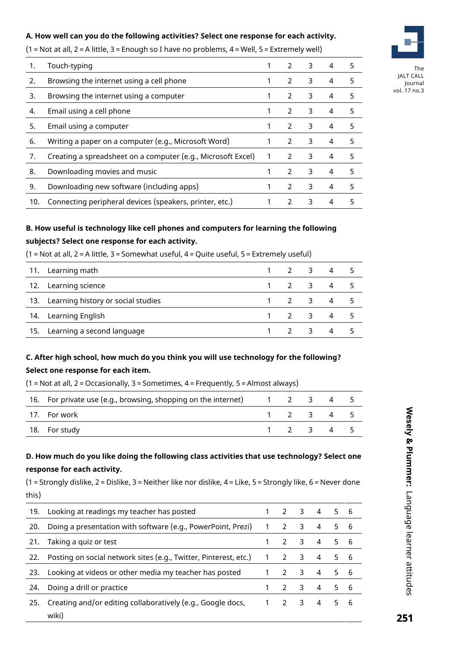#### **A. How well can you do the following activities? Select one response for each activity.**

(1 = Not at all, 2 = A little, 3 = Enough so I have no problems, 4 = Well, 5 = Extremely well)

| 1.  | Touch-typing                                                 |   | $\mathcal{P}$ | 3 |   | 5 |
|-----|--------------------------------------------------------------|---|---------------|---|---|---|
| 2.  | Browsing the internet using a cell phone                     |   | $\mathcal{P}$ | 3 | 4 | 5 |
| 3.  | Browsing the internet using a computer                       |   | $\mathcal{L}$ | 3 | 4 | 5 |
| 4.  | Email using a cell phone                                     | 1 | $\mathcal{P}$ | 3 | 4 | 5 |
| 5.  | Email using a computer                                       |   | $\mathcal{P}$ | 3 | 4 | 5 |
| 6.  | Writing a paper on a computer (e.g., Microsoft Word)         |   | $\mathcal{P}$ | 3 | 4 | 5 |
| 7.  | Creating a spreadsheet on a computer (e.g., Microsoft Excel) | 1 | $\mathcal{P}$ | 3 | 4 | 5 |
| 8.  | Downloading movies and music                                 |   | $\mathcal{P}$ | 3 | 4 | 5 |
| 9.  | Downloading new software (including apps)                    |   | $\mathcal{P}$ | 3 | 4 | 5 |
| 10. | Connecting peripheral devices (speakers, printer, etc.)      |   | $\mathcal{P}$ | 3 | 4 | 5 |

#### **B. How useful is technology like cell phones and computers for learning the following subjects? Select one response for each activity.**

(1 = Not at all, 2 = A little, 3 = Somewhat useful, 4 = Quite useful, 5 = Extremely useful)

| 11. Learning math                      | 1 2 3 4 5                           |  |  |
|----------------------------------------|-------------------------------------|--|--|
| 12. Learning science                   | $1 \quad 2 \quad 3 \quad 4 \quad 5$ |  |  |
| 13. Learning history or social studies | 1 2 3 4 5                           |  |  |
| 14. Learning English                   | $1 \quad 2 \quad 3 \quad 4 \quad 5$ |  |  |
| 15. Learning a second language         | $1 \quad 2 \quad 3 \quad 4 \quad 5$ |  |  |

# **C. After high school, how much do you think you will use technology for the following? Select one response for each item.**

| 16. For private use (e.g., browsing, shopping on the internet) | 1 2 3 |                     | 45  |  |
|----------------------------------------------------------------|-------|---------------------|-----|--|
| 17. For work                                                   |       | $1 \quad 2 \quad 3$ | 4 5 |  |
| 18. For study                                                  |       | $1 \quad 2 \quad 3$ | 4 5 |  |

(1 = Not at all, 2 = Occasionally, 3 = Sometimes, 4 = Frequently, 5 = Almost always)

#### **D. How much do you like doing the following class activities that use technology? Select one response for each activity.**

(1 = Strongly dislike, 2 = Dislike, 3 = Neither like nor dislike, 4 = Like, 5 = Strongly like, 6 = Never done this)

|     | 19. Looking at readings my teacher has posted                          |                |               | $2 \overline{3}$        | 4              |     | 5 6 |
|-----|------------------------------------------------------------------------|----------------|---------------|-------------------------|----------------|-----|-----|
| 20. | Doing a presentation with software (e.g., PowerPoint, Prezi)           | $\overline{1}$ | 2             | 3                       | 4              | 5 6 |     |
| 21. | Taking a quiz or test                                                  |                | $\mathcal{L}$ | 3                       | $\overline{4}$ | 5 6 |     |
|     | 22. Posting on social network sites (e.g., Twitter, Pinterest, etc.) 1 |                | $\mathcal{L}$ | $\overline{\mathbf{3}}$ | 4              | 56  |     |
| 23. | Looking at videos or other media my teacher has posted                 |                | $\mathcal{P}$ | $\overline{\mathbf{3}}$ | $\overline{4}$ | 56  |     |
| 24. | Doing a drill or practice                                              |                |               | 2 <sup>3</sup>          | $\overline{4}$ | 5 6 |     |
| 25. | Creating and/or editing collaboratively (e.g., Google docs,            |                | $\mathcal{P}$ | 3                       | 4              | 56  |     |
|     | wiki)                                                                  |                |               |                         |                |     |     |



The JALT CALL Journal vol. 17 no.3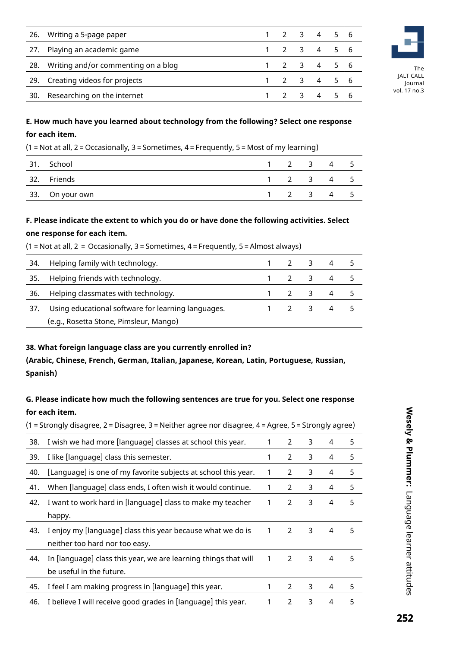|     | 26. Writing a 5-page paper              |  | 1 2 3 4 5 6             |  |
|-----|-----------------------------------------|--|-------------------------|--|
|     | 27. Playing an academic game            |  | 1 2 3 4 5 6             |  |
|     | 28. Writing and/or commenting on a blog |  | $1 \t2 \t3 \t4 \t5 \t6$ |  |
|     | 29. Creating videos for projects        |  | 1 2 3 4 5 6             |  |
| 30. | Researching on the internet             |  | 1 2 3 4 5 6             |  |



The JALT CALL Journal vol. 17 no.3

#### **E. How much have you learned about technology from the following? Select one response for each item.**

(1 = Not at all, 2 = Occasionally, 3 = Sometimes, 4 = Frequently, 5 = Most of my learning)

| 31. | School          |              |                     | 2 3 4 | - 5 |
|-----|-----------------|--------------|---------------------|-------|-----|
|     | 32. Friends     |              | $2 \quad 3 \quad 4$ |       | - 5 |
|     | 33. On your own | $2 \times 3$ |                     | 4     | - 5 |

#### **F. Please indicate the extent to which you do or have done the following activities. Select one response for each item.**

| 34. | Helping family with technology.                    | 1 2 3 4 |                |  |
|-----|----------------------------------------------------|---------|----------------|--|
|     | 35. Helping friends with technology.               |         | 1 2 3 4 5      |  |
| 36. | Helping classmates with technology.                | 1 2 3 4 |                |  |
| 37. | Using educational software for learning languages. | 2 3     | $\overline{4}$ |  |
|     | (e.g., Rosetta Stone, Pimsleur, Mango)             |         |                |  |

#### $(1 = Not at all, 2 = Occasionally, 3 = Sometimes, 4 = Frequently, 5 = Almost always)$

#### **38. What foreign language class are you currently enrolled in?**

**(Arabic, Chinese, French, German, Italian, Japanese, Korean, Latin, Portuguese, Russian, Spanish)**

#### **G. Please indicate how much the following sentences are true for you. Select one response for each item.**

(1 = Strongly disagree, 2 = Disagree, 3 = Neither agree nor disagree, 4 = Agree, 5 = Strongly agree) 38. I wish we had more [language] classes at school this year. 1 2 3 4 5 39. I like [language] class this semester. 1 2 3 4 5 40. [Language] is one of my favorite subjects at school this year.  $1 \quad 2 \quad 3 \quad 4 \quad 5$ 41. When [language] class ends, I often wish it would continue. 1 2 3 4 5 42. I want to work hard in [language] class to make my teacher happy. 1 2 3 4 5 43. I enjoy my [language] class this year because what we do is neither too hard nor too easy. 1 2 3 4 5 44. In [language] class this year, we are learning things that will be useful in the future. 1 2 3 4 5 45. I feel I am making progress in [language] this year. 1 2 3 4 5 46. I believe I will receive good grades in [language] this year. 1 2 3 4 5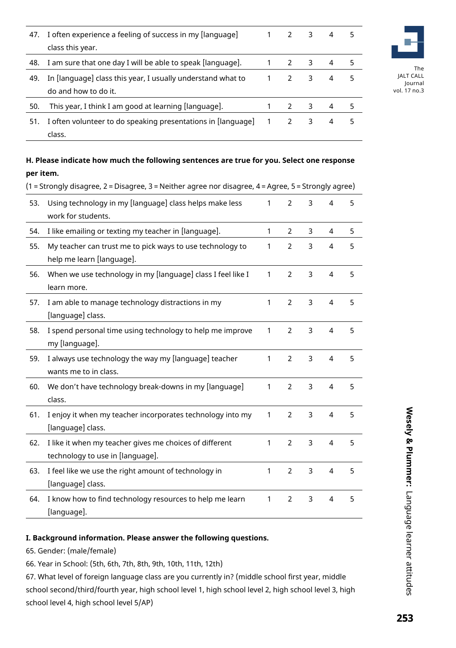| 47. | I often experience a feeling of success in my [language]<br>class this year.        |                |               | 3 | 4 | 5 |
|-----|-------------------------------------------------------------------------------------|----------------|---------------|---|---|---|
| 48. | I am sure that one day I will be able to speak [language].                          |                | $\mathcal{L}$ | 3 | 4 |   |
| 49. | In [language] class this year, I usually understand what to<br>do and how to do it. |                | $\mathcal{L}$ | 3 | 4 | 5 |
| 50. | This year, I think I am good at learning [language].                                |                | $\mathcal{L}$ | 3 | 4 |   |
| 51. | I often volunteer to do speaking presentations in [language]<br>class.              | $\overline{1}$ | $\mathcal{L}$ | 3 | 4 | 5 |



The JALT CALL Journal vol. 17 no.3

#### **H. Please indicate how much the following sentences are true for you. Select one response per item.**

(1 = Strongly disagree, 2 = Disagree, 3 = Neither agree nor disagree, 4 = Agree, 5 = Strongly agree)

| 53. | Using technology in my [language] class helps make less<br>work for students.               | 1            | $\overline{2}$ | 3              | 4              | 5 |
|-----|---------------------------------------------------------------------------------------------|--------------|----------------|----------------|----------------|---|
| 54. | I like emailing or texting my teacher in [language].                                        | 1            | $\overline{2}$ | 3              | 4              | 5 |
| 55. | My teacher can trust me to pick ways to use technology to<br>help me learn [language].      | 1            | 2              | 3              | 4              | 5 |
| 56. | When we use technology in my [language] class I feel like I<br>learn more.                  | $\mathbf{1}$ | $\overline{2}$ | 3              | 4              | 5 |
| 57. | I am able to manage technology distractions in my<br>[language] class.                      | 1            | $\overline{2}$ | 3              | $\overline{4}$ | 5 |
| 58. | I spend personal time using technology to help me improve<br>my [language].                 | 1            | $\overline{2}$ | 3              | 4              | 5 |
| 59. | I always use technology the way my [language] teacher<br>wants me to in class.              | 1            | $\overline{2}$ | 3              | $\overline{4}$ | 5 |
| 60. | We don't have technology break-downs in my [language]<br>class.                             | 1            | $\overline{2}$ | 3              | $\overline{4}$ | 5 |
| 61. | I enjoy it when my teacher incorporates technology into my<br>[language] class.             | 1            | $\overline{2}$ | 3              | $\overline{4}$ | 5 |
| 62. | I like it when my teacher gives me choices of different<br>technology to use in [language]. | 1            | $\overline{2}$ | $\overline{3}$ | 4              | 5 |
| 63. | I feel like we use the right amount of technology in<br>[language] class.                   | 1            | $\overline{2}$ | $\overline{3}$ | $\overline{4}$ | 5 |
| 64. | I know how to find technology resources to help me learn<br>[language].                     | 1            | $\overline{2}$ | 3              | 4              | 5 |

#### **I. Background information. Please answer the following questions.**

65. Gender: (male/female)

66. Year in School: (5th, 6th, 7th, 8th, 9th, 10th, 11th, 12th)

67. What level of foreign language class are you currently in? (middle school first year, middle school second/third/fourth year, high school level 1, high school level 2, high school level 3, high school level 4, high school level 5/AP)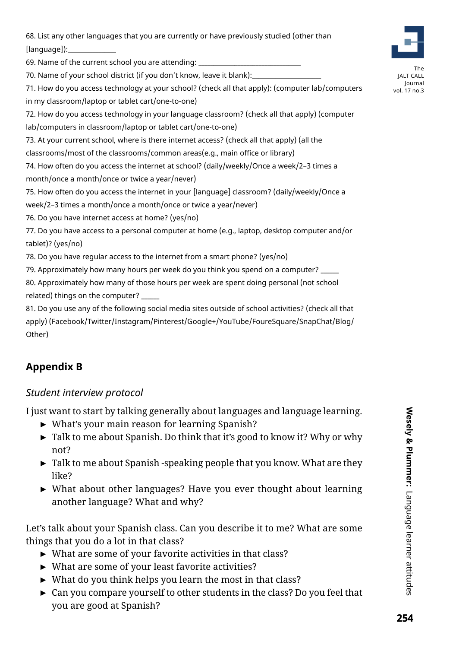68. List any other languages that you are currently or have previously studied (other than  $[language]$ :

69. Name of the current school you are attending:

70. Name of your school district (if you don't know, leave it blank):

71. How do you access technology at your school? (check all that apply): (computer lab/computers in my classroom/laptop or tablet cart/one-to-one)

72. How do you access technology in your language classroom? (check all that apply) (computer lab/computers in classroom/laptop or tablet cart/one-to-one)

73. At your current school, where is there internet access? (check all that apply) (all the classrooms/most of the classrooms/common areas(e.g., main office or library)

74. How often do you access the internet at school? (daily/weekly/Once a week/2–3 times a month/once a month/once or twice a year/never)

75. How often do you access the internet in your [language] classroom? (daily/weekly/Once a week/2–3 times a month/once a month/once or twice a year/never)

76. Do you have internet access at home? (yes/no)

77. Do you have access to a personal computer at home (e.g., laptop, desktop computer and/or tablet)? (yes/no)

78. Do you have regular access to the internet from a smart phone? (yes/no)

79. Approximately how many hours per week do you think you spend on a computer?

80. Approximately how many of those hours per week are spent doing personal (not school related) things on the computer?

81. Do you use any of the following social media sites outside of school activities? (check all that apply) (Facebook/Twitter/Instagram/Pinterest/Google+/YouTube/FoureSquare/SnapChat/Blog/ Other)

# **Appendix B**

# *Student interview protocol*

I just want to start by talking generally about languages and language learning.

- ► What's your main reason for learning Spanish?
- ► Talk to me about Spanish. Do think that it's good to know it? Why or why not?
- ► Talk to me about Spanish -speaking people that you know. What are they like?
- ► What about other languages? Have you ever thought about learning another language? What and why?

Let's talk about your Spanish class. Can you describe it to me? What are some things that you do a lot in that class?

- ► What are some of your favorite activities in that class?
- ► What are some of your least favorite activities?
- ► What do you think helps you learn the most in that class?
- ► Can you compare yourself to other students in the class? Do you feel that you are good at Spanish?